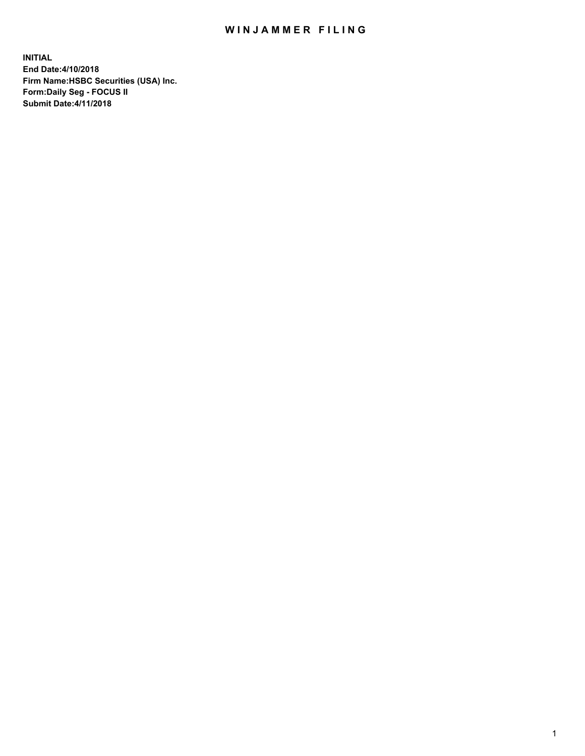## WIN JAMMER FILING

**INITIAL End Date:4/10/2018 Firm Name:HSBC Securities (USA) Inc. Form:Daily Seg - FOCUS II Submit Date:4/11/2018**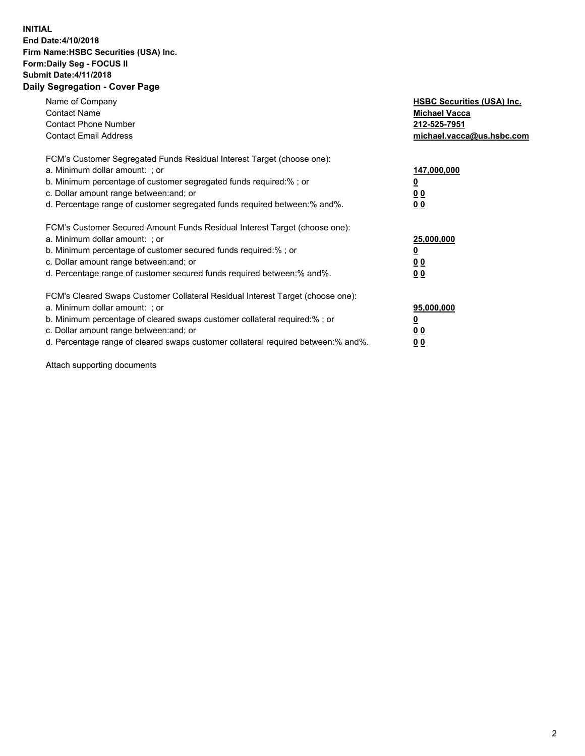## **INITIAL End Date:4/10/2018 Firm Name:HSBC Securities (USA) Inc. Form:Daily Seg - FOCUS II Submit Date:4/11/2018 Daily Segregation - Cover Page**

| Name of Company<br><b>Contact Name</b><br><b>Contact Phone Number</b><br><b>Contact Email Address</b>                                                                                                                                                                                                                         | <b>HSBC Securities (USA) Inc.</b><br><b>Michael Vacca</b><br>212-525-7951<br>michael.vacca@us.hsbc.com |
|-------------------------------------------------------------------------------------------------------------------------------------------------------------------------------------------------------------------------------------------------------------------------------------------------------------------------------|--------------------------------------------------------------------------------------------------------|
| FCM's Customer Segregated Funds Residual Interest Target (choose one):<br>a. Minimum dollar amount: ; or<br>b. Minimum percentage of customer segregated funds required:%; or<br>c. Dollar amount range between: and; or<br>d. Percentage range of customer segregated funds required between: % and %.                       | 147,000,000<br><u>0</u><br><u>00</u><br>00                                                             |
| FCM's Customer Secured Amount Funds Residual Interest Target (choose one):<br>a. Minimum dollar amount: ; or<br>b. Minimum percentage of customer secured funds required:%; or<br>c. Dollar amount range between: and; or<br>d. Percentage range of customer secured funds required between: % and %.                         | 25,000,000<br><u>0</u><br><u>00</u><br>00                                                              |
| FCM's Cleared Swaps Customer Collateral Residual Interest Target (choose one):<br>a. Minimum dollar amount: ; or<br>b. Minimum percentage of cleared swaps customer collateral required:%; or<br>c. Dollar amount range between: and; or<br>d. Percentage range of cleared swaps customer collateral required between:% and%. | 95,000,000<br><u>0</u><br><u>00</u><br><u>00</u>                                                       |

Attach supporting documents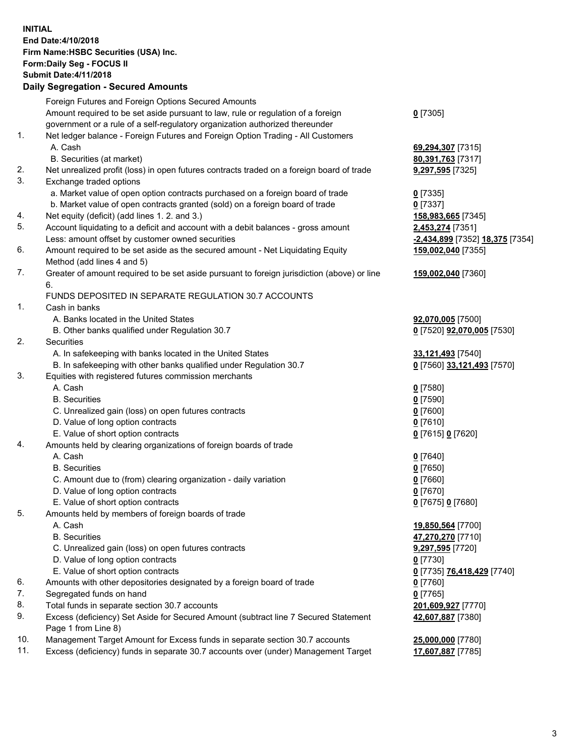**INITIAL End Date:4/10/2018 Firm Name:HSBC Securities (USA) Inc. Form:Daily Seg - FOCUS II Submit Date:4/11/2018 Daily Segregation - Secured Amounts**

Foreign Futures and Foreign Options Secured Amounts Amount required to be set aside pursuant to law, rule or regulation of a foreign government or a rule of a self-regulatory organization authorized thereunder **0** [7305] 1. Net ledger balance - Foreign Futures and Foreign Option Trading - All Customers A. Cash **69,294,307** [7315] B. Securities (at market) **80,391,763** [7317] 2. Net unrealized profit (loss) in open futures contracts traded on a foreign board of trade **9,297,595** [7325] 3. Exchange traded options a. Market value of open option contracts purchased on a foreign board of trade **0** [7335] b. Market value of open contracts granted (sold) on a foreign board of trade **0** [7337] 4. Net equity (deficit) (add lines 1. 2. and 3.) **158,983,665** [7345] 5. Account liquidating to a deficit and account with a debit balances - gross amount **2,453,274** [7351] Less: amount offset by customer owned securities **-2,434,899** [7352] **18,375** [7354] 6. Amount required to be set aside as the secured amount - Net Liquidating Equity Method (add lines 4 and 5) **159,002,040** [7355] 7. Greater of amount required to be set aside pursuant to foreign jurisdiction (above) or line 6. **159,002,040** [7360] FUNDS DEPOSITED IN SEPARATE REGULATION 30.7 ACCOUNTS 1. Cash in banks A. Banks located in the United States **92,070,005** [7500] B. Other banks qualified under Regulation 30.7 **0** [7520] **92,070,005** [7530] 2. Securities A. In safekeeping with banks located in the United States **33,121,493** [7540] B. In safekeeping with other banks qualified under Regulation 30.7 **0** [7560] **33,121,493** [7570] 3. Equities with registered futures commission merchants A. Cash **0** [7580] B. Securities **0** [7590] C. Unrealized gain (loss) on open futures contracts **0** [7600] D. Value of long option contracts **0** [7610] E. Value of short option contracts **0** [7615] **0** [7620] 4. Amounts held by clearing organizations of foreign boards of trade A. Cash **0** [7640] B. Securities **0** [7650] C. Amount due to (from) clearing organization - daily variation **0** [7660] D. Value of long option contracts **0** [7670] E. Value of short option contracts **0** [7675] **0** [7680] 5. Amounts held by members of foreign boards of trade A. Cash **19,850,564** [7700] B. Securities **47,270,270** [7710] C. Unrealized gain (loss) on open futures contracts **9,297,595** [7720] D. Value of long option contracts **0** [7730] E. Value of short option contracts **0** [7735] **76,418,429** [7740] 6. Amounts with other depositories designated by a foreign board of trade **0** [7760] 7. Segregated funds on hand **0** [7765] 8. Total funds in separate section 30.7 accounts **201,609,927** [7770] 9. Excess (deficiency) Set Aside for Secured Amount (subtract line 7 Secured Statement Page 1 from Line 8) **42,607,887** [7380] 10. Management Target Amount for Excess funds in separate section 30.7 accounts **25,000,000** [7780] 11. Excess (deficiency) funds in separate 30.7 accounts over (under) Management Target **17,607,887** [7785]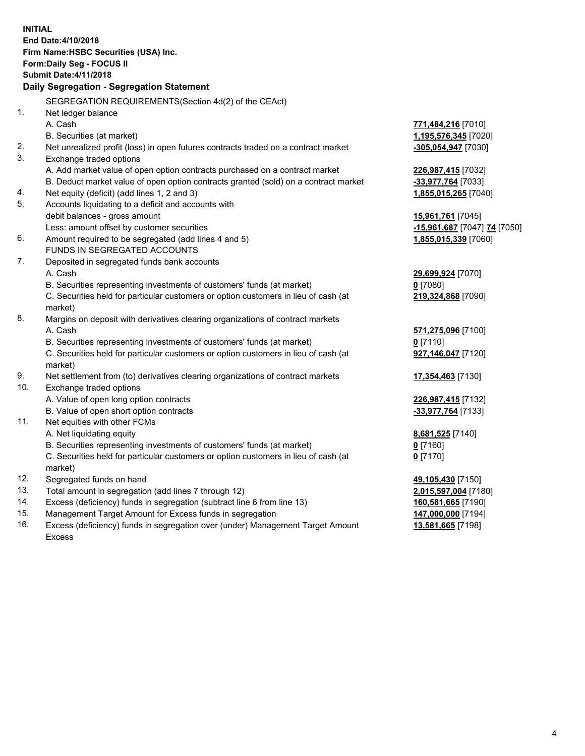| <b>Submit Date: 4/11/2018</b><br>Daily Segregation - Segregation Statement<br>SEGREGATION REQUIREMENTS(Section 4d(2) of the CEAct)<br>1.<br>Net ledger balance<br>A. Cash<br>771,484,216 [7010]<br>B. Securities (at market)<br>1,195,576,345 [7020]<br>2.<br>Net unrealized profit (loss) in open futures contracts traded on a contract market<br>-305,054,947 [7030]<br>3.<br>Exchange traded options<br>A. Add market value of open option contracts purchased on a contract market<br>226,987,415 [7032]<br>B. Deduct market value of open option contracts granted (sold) on a contract market<br>-33,977,764 [7033]<br>Net equity (deficit) (add lines 1, 2 and 3)<br>1,855,015,265 [7040]<br>4.<br>5.<br>Accounts liquidating to a deficit and accounts with<br>debit balances - gross amount<br>15,961,761 [7045]<br>Less: amount offset by customer securities<br>-15,961,687 [7047] 74 [7050]<br>6.<br>Amount required to be segregated (add lines 4 and 5)<br>1,855,015,339 [7060]<br>FUNDS IN SEGREGATED ACCOUNTS<br>7.<br>Deposited in segregated funds bank accounts<br>A. Cash<br>29,699,924 [7070]<br>$0$ [7080]<br>B. Securities representing investments of customers' funds (at market)<br>C. Securities held for particular customers or option customers in lieu of cash (at<br>219,324,868 [7090]<br>market)<br>8.<br>Margins on deposit with derivatives clearing organizations of contract markets<br>A. Cash<br>571,275,096 [7100]<br>$0$ [7110]<br>B. Securities representing investments of customers' funds (at market)<br>C. Securities held for particular customers or option customers in lieu of cash (at<br>927,146,047 [7120]<br>market)<br>9.<br>Net settlement from (to) derivatives clearing organizations of contract markets<br>17,354,463 [7130]<br>10.<br>Exchange traded options<br>A. Value of open long option contracts<br>226,987,415 [7132]<br>B. Value of open short option contracts<br>-33,977,764 [7133]<br>Net equities with other FCMs<br>11.<br>A. Net liquidating equity<br>8,681,525 [7140]<br>B. Securities representing investments of customers' funds (at market)<br>0 [7160]<br>C. Securities held for particular customers or option customers in lieu of cash (at<br>$0$ [7170]<br>market)<br>12.<br>Segregated funds on hand<br>49,105,430 [7150]<br>13.<br>Total amount in segregation (add lines 7 through 12)<br>2,015,597,004 [7180]<br>14.<br>Excess (deficiency) funds in segregation (subtract line 6 from line 13)<br>160,581,665 [7190]<br>15.<br>Management Target Amount for Excess funds in segregation<br>147,000,000 [7194] | <b>INITIAL</b> | End Date: 4/10/2018<br>Firm Name: HSBC Securities (USA) Inc.<br>Form: Daily Seg - FOCUS II |  |  |  |  |  |
|-------------------------------------------------------------------------------------------------------------------------------------------------------------------------------------------------------------------------------------------------------------------------------------------------------------------------------------------------------------------------------------------------------------------------------------------------------------------------------------------------------------------------------------------------------------------------------------------------------------------------------------------------------------------------------------------------------------------------------------------------------------------------------------------------------------------------------------------------------------------------------------------------------------------------------------------------------------------------------------------------------------------------------------------------------------------------------------------------------------------------------------------------------------------------------------------------------------------------------------------------------------------------------------------------------------------------------------------------------------------------------------------------------------------------------------------------------------------------------------------------------------------------------------------------------------------------------------------------------------------------------------------------------------------------------------------------------------------------------------------------------------------------------------------------------------------------------------------------------------------------------------------------------------------------------------------------------------------------------------------------------------------------------------------------------------------------------------------------------------------------------------------------------------------------------------------------------------------------------------------------------------------------------------------------------------------------------------------------------------------------------------------------------------------------------------------------------------------------------------------------------------------------------------------------------------------------------------------------------------|----------------|--------------------------------------------------------------------------------------------|--|--|--|--|--|
|                                                                                                                                                                                                                                                                                                                                                                                                                                                                                                                                                                                                                                                                                                                                                                                                                                                                                                                                                                                                                                                                                                                                                                                                                                                                                                                                                                                                                                                                                                                                                                                                                                                                                                                                                                                                                                                                                                                                                                                                                                                                                                                                                                                                                                                                                                                                                                                                                                                                                                                                                                                                             |                |                                                                                            |  |  |  |  |  |
|                                                                                                                                                                                                                                                                                                                                                                                                                                                                                                                                                                                                                                                                                                                                                                                                                                                                                                                                                                                                                                                                                                                                                                                                                                                                                                                                                                                                                                                                                                                                                                                                                                                                                                                                                                                                                                                                                                                                                                                                                                                                                                                                                                                                                                                                                                                                                                                                                                                                                                                                                                                                             |                |                                                                                            |  |  |  |  |  |
|                                                                                                                                                                                                                                                                                                                                                                                                                                                                                                                                                                                                                                                                                                                                                                                                                                                                                                                                                                                                                                                                                                                                                                                                                                                                                                                                                                                                                                                                                                                                                                                                                                                                                                                                                                                                                                                                                                                                                                                                                                                                                                                                                                                                                                                                                                                                                                                                                                                                                                                                                                                                             |                |                                                                                            |  |  |  |  |  |
|                                                                                                                                                                                                                                                                                                                                                                                                                                                                                                                                                                                                                                                                                                                                                                                                                                                                                                                                                                                                                                                                                                                                                                                                                                                                                                                                                                                                                                                                                                                                                                                                                                                                                                                                                                                                                                                                                                                                                                                                                                                                                                                                                                                                                                                                                                                                                                                                                                                                                                                                                                                                             |                |                                                                                            |  |  |  |  |  |
|                                                                                                                                                                                                                                                                                                                                                                                                                                                                                                                                                                                                                                                                                                                                                                                                                                                                                                                                                                                                                                                                                                                                                                                                                                                                                                                                                                                                                                                                                                                                                                                                                                                                                                                                                                                                                                                                                                                                                                                                                                                                                                                                                                                                                                                                                                                                                                                                                                                                                                                                                                                                             |                |                                                                                            |  |  |  |  |  |
|                                                                                                                                                                                                                                                                                                                                                                                                                                                                                                                                                                                                                                                                                                                                                                                                                                                                                                                                                                                                                                                                                                                                                                                                                                                                                                                                                                                                                                                                                                                                                                                                                                                                                                                                                                                                                                                                                                                                                                                                                                                                                                                                                                                                                                                                                                                                                                                                                                                                                                                                                                                                             |                |                                                                                            |  |  |  |  |  |
|                                                                                                                                                                                                                                                                                                                                                                                                                                                                                                                                                                                                                                                                                                                                                                                                                                                                                                                                                                                                                                                                                                                                                                                                                                                                                                                                                                                                                                                                                                                                                                                                                                                                                                                                                                                                                                                                                                                                                                                                                                                                                                                                                                                                                                                                                                                                                                                                                                                                                                                                                                                                             |                |                                                                                            |  |  |  |  |  |
|                                                                                                                                                                                                                                                                                                                                                                                                                                                                                                                                                                                                                                                                                                                                                                                                                                                                                                                                                                                                                                                                                                                                                                                                                                                                                                                                                                                                                                                                                                                                                                                                                                                                                                                                                                                                                                                                                                                                                                                                                                                                                                                                                                                                                                                                                                                                                                                                                                                                                                                                                                                                             |                |                                                                                            |  |  |  |  |  |
|                                                                                                                                                                                                                                                                                                                                                                                                                                                                                                                                                                                                                                                                                                                                                                                                                                                                                                                                                                                                                                                                                                                                                                                                                                                                                                                                                                                                                                                                                                                                                                                                                                                                                                                                                                                                                                                                                                                                                                                                                                                                                                                                                                                                                                                                                                                                                                                                                                                                                                                                                                                                             |                |                                                                                            |  |  |  |  |  |
|                                                                                                                                                                                                                                                                                                                                                                                                                                                                                                                                                                                                                                                                                                                                                                                                                                                                                                                                                                                                                                                                                                                                                                                                                                                                                                                                                                                                                                                                                                                                                                                                                                                                                                                                                                                                                                                                                                                                                                                                                                                                                                                                                                                                                                                                                                                                                                                                                                                                                                                                                                                                             |                |                                                                                            |  |  |  |  |  |
|                                                                                                                                                                                                                                                                                                                                                                                                                                                                                                                                                                                                                                                                                                                                                                                                                                                                                                                                                                                                                                                                                                                                                                                                                                                                                                                                                                                                                                                                                                                                                                                                                                                                                                                                                                                                                                                                                                                                                                                                                                                                                                                                                                                                                                                                                                                                                                                                                                                                                                                                                                                                             |                |                                                                                            |  |  |  |  |  |
|                                                                                                                                                                                                                                                                                                                                                                                                                                                                                                                                                                                                                                                                                                                                                                                                                                                                                                                                                                                                                                                                                                                                                                                                                                                                                                                                                                                                                                                                                                                                                                                                                                                                                                                                                                                                                                                                                                                                                                                                                                                                                                                                                                                                                                                                                                                                                                                                                                                                                                                                                                                                             |                |                                                                                            |  |  |  |  |  |
|                                                                                                                                                                                                                                                                                                                                                                                                                                                                                                                                                                                                                                                                                                                                                                                                                                                                                                                                                                                                                                                                                                                                                                                                                                                                                                                                                                                                                                                                                                                                                                                                                                                                                                                                                                                                                                                                                                                                                                                                                                                                                                                                                                                                                                                                                                                                                                                                                                                                                                                                                                                                             |                |                                                                                            |  |  |  |  |  |
|                                                                                                                                                                                                                                                                                                                                                                                                                                                                                                                                                                                                                                                                                                                                                                                                                                                                                                                                                                                                                                                                                                                                                                                                                                                                                                                                                                                                                                                                                                                                                                                                                                                                                                                                                                                                                                                                                                                                                                                                                                                                                                                                                                                                                                                                                                                                                                                                                                                                                                                                                                                                             |                |                                                                                            |  |  |  |  |  |
|                                                                                                                                                                                                                                                                                                                                                                                                                                                                                                                                                                                                                                                                                                                                                                                                                                                                                                                                                                                                                                                                                                                                                                                                                                                                                                                                                                                                                                                                                                                                                                                                                                                                                                                                                                                                                                                                                                                                                                                                                                                                                                                                                                                                                                                                                                                                                                                                                                                                                                                                                                                                             |                |                                                                                            |  |  |  |  |  |
|                                                                                                                                                                                                                                                                                                                                                                                                                                                                                                                                                                                                                                                                                                                                                                                                                                                                                                                                                                                                                                                                                                                                                                                                                                                                                                                                                                                                                                                                                                                                                                                                                                                                                                                                                                                                                                                                                                                                                                                                                                                                                                                                                                                                                                                                                                                                                                                                                                                                                                                                                                                                             |                |                                                                                            |  |  |  |  |  |
|                                                                                                                                                                                                                                                                                                                                                                                                                                                                                                                                                                                                                                                                                                                                                                                                                                                                                                                                                                                                                                                                                                                                                                                                                                                                                                                                                                                                                                                                                                                                                                                                                                                                                                                                                                                                                                                                                                                                                                                                                                                                                                                                                                                                                                                                                                                                                                                                                                                                                                                                                                                                             |                |                                                                                            |  |  |  |  |  |
|                                                                                                                                                                                                                                                                                                                                                                                                                                                                                                                                                                                                                                                                                                                                                                                                                                                                                                                                                                                                                                                                                                                                                                                                                                                                                                                                                                                                                                                                                                                                                                                                                                                                                                                                                                                                                                                                                                                                                                                                                                                                                                                                                                                                                                                                                                                                                                                                                                                                                                                                                                                                             |                |                                                                                            |  |  |  |  |  |
|                                                                                                                                                                                                                                                                                                                                                                                                                                                                                                                                                                                                                                                                                                                                                                                                                                                                                                                                                                                                                                                                                                                                                                                                                                                                                                                                                                                                                                                                                                                                                                                                                                                                                                                                                                                                                                                                                                                                                                                                                                                                                                                                                                                                                                                                                                                                                                                                                                                                                                                                                                                                             |                |                                                                                            |  |  |  |  |  |
|                                                                                                                                                                                                                                                                                                                                                                                                                                                                                                                                                                                                                                                                                                                                                                                                                                                                                                                                                                                                                                                                                                                                                                                                                                                                                                                                                                                                                                                                                                                                                                                                                                                                                                                                                                                                                                                                                                                                                                                                                                                                                                                                                                                                                                                                                                                                                                                                                                                                                                                                                                                                             |                |                                                                                            |  |  |  |  |  |
|                                                                                                                                                                                                                                                                                                                                                                                                                                                                                                                                                                                                                                                                                                                                                                                                                                                                                                                                                                                                                                                                                                                                                                                                                                                                                                                                                                                                                                                                                                                                                                                                                                                                                                                                                                                                                                                                                                                                                                                                                                                                                                                                                                                                                                                                                                                                                                                                                                                                                                                                                                                                             |                |                                                                                            |  |  |  |  |  |
|                                                                                                                                                                                                                                                                                                                                                                                                                                                                                                                                                                                                                                                                                                                                                                                                                                                                                                                                                                                                                                                                                                                                                                                                                                                                                                                                                                                                                                                                                                                                                                                                                                                                                                                                                                                                                                                                                                                                                                                                                                                                                                                                                                                                                                                                                                                                                                                                                                                                                                                                                                                                             |                |                                                                                            |  |  |  |  |  |
|                                                                                                                                                                                                                                                                                                                                                                                                                                                                                                                                                                                                                                                                                                                                                                                                                                                                                                                                                                                                                                                                                                                                                                                                                                                                                                                                                                                                                                                                                                                                                                                                                                                                                                                                                                                                                                                                                                                                                                                                                                                                                                                                                                                                                                                                                                                                                                                                                                                                                                                                                                                                             |                |                                                                                            |  |  |  |  |  |
|                                                                                                                                                                                                                                                                                                                                                                                                                                                                                                                                                                                                                                                                                                                                                                                                                                                                                                                                                                                                                                                                                                                                                                                                                                                                                                                                                                                                                                                                                                                                                                                                                                                                                                                                                                                                                                                                                                                                                                                                                                                                                                                                                                                                                                                                                                                                                                                                                                                                                                                                                                                                             |                |                                                                                            |  |  |  |  |  |
|                                                                                                                                                                                                                                                                                                                                                                                                                                                                                                                                                                                                                                                                                                                                                                                                                                                                                                                                                                                                                                                                                                                                                                                                                                                                                                                                                                                                                                                                                                                                                                                                                                                                                                                                                                                                                                                                                                                                                                                                                                                                                                                                                                                                                                                                                                                                                                                                                                                                                                                                                                                                             |                |                                                                                            |  |  |  |  |  |
|                                                                                                                                                                                                                                                                                                                                                                                                                                                                                                                                                                                                                                                                                                                                                                                                                                                                                                                                                                                                                                                                                                                                                                                                                                                                                                                                                                                                                                                                                                                                                                                                                                                                                                                                                                                                                                                                                                                                                                                                                                                                                                                                                                                                                                                                                                                                                                                                                                                                                                                                                                                                             |                |                                                                                            |  |  |  |  |  |
|                                                                                                                                                                                                                                                                                                                                                                                                                                                                                                                                                                                                                                                                                                                                                                                                                                                                                                                                                                                                                                                                                                                                                                                                                                                                                                                                                                                                                                                                                                                                                                                                                                                                                                                                                                                                                                                                                                                                                                                                                                                                                                                                                                                                                                                                                                                                                                                                                                                                                                                                                                                                             |                |                                                                                            |  |  |  |  |  |
|                                                                                                                                                                                                                                                                                                                                                                                                                                                                                                                                                                                                                                                                                                                                                                                                                                                                                                                                                                                                                                                                                                                                                                                                                                                                                                                                                                                                                                                                                                                                                                                                                                                                                                                                                                                                                                                                                                                                                                                                                                                                                                                                                                                                                                                                                                                                                                                                                                                                                                                                                                                                             |                |                                                                                            |  |  |  |  |  |
|                                                                                                                                                                                                                                                                                                                                                                                                                                                                                                                                                                                                                                                                                                                                                                                                                                                                                                                                                                                                                                                                                                                                                                                                                                                                                                                                                                                                                                                                                                                                                                                                                                                                                                                                                                                                                                                                                                                                                                                                                                                                                                                                                                                                                                                                                                                                                                                                                                                                                                                                                                                                             |                |                                                                                            |  |  |  |  |  |
|                                                                                                                                                                                                                                                                                                                                                                                                                                                                                                                                                                                                                                                                                                                                                                                                                                                                                                                                                                                                                                                                                                                                                                                                                                                                                                                                                                                                                                                                                                                                                                                                                                                                                                                                                                                                                                                                                                                                                                                                                                                                                                                                                                                                                                                                                                                                                                                                                                                                                                                                                                                                             |                |                                                                                            |  |  |  |  |  |
|                                                                                                                                                                                                                                                                                                                                                                                                                                                                                                                                                                                                                                                                                                                                                                                                                                                                                                                                                                                                                                                                                                                                                                                                                                                                                                                                                                                                                                                                                                                                                                                                                                                                                                                                                                                                                                                                                                                                                                                                                                                                                                                                                                                                                                                                                                                                                                                                                                                                                                                                                                                                             |                |                                                                                            |  |  |  |  |  |
|                                                                                                                                                                                                                                                                                                                                                                                                                                                                                                                                                                                                                                                                                                                                                                                                                                                                                                                                                                                                                                                                                                                                                                                                                                                                                                                                                                                                                                                                                                                                                                                                                                                                                                                                                                                                                                                                                                                                                                                                                                                                                                                                                                                                                                                                                                                                                                                                                                                                                                                                                                                                             |                |                                                                                            |  |  |  |  |  |
|                                                                                                                                                                                                                                                                                                                                                                                                                                                                                                                                                                                                                                                                                                                                                                                                                                                                                                                                                                                                                                                                                                                                                                                                                                                                                                                                                                                                                                                                                                                                                                                                                                                                                                                                                                                                                                                                                                                                                                                                                                                                                                                                                                                                                                                                                                                                                                                                                                                                                                                                                                                                             |                |                                                                                            |  |  |  |  |  |
|                                                                                                                                                                                                                                                                                                                                                                                                                                                                                                                                                                                                                                                                                                                                                                                                                                                                                                                                                                                                                                                                                                                                                                                                                                                                                                                                                                                                                                                                                                                                                                                                                                                                                                                                                                                                                                                                                                                                                                                                                                                                                                                                                                                                                                                                                                                                                                                                                                                                                                                                                                                                             |                |                                                                                            |  |  |  |  |  |
|                                                                                                                                                                                                                                                                                                                                                                                                                                                                                                                                                                                                                                                                                                                                                                                                                                                                                                                                                                                                                                                                                                                                                                                                                                                                                                                                                                                                                                                                                                                                                                                                                                                                                                                                                                                                                                                                                                                                                                                                                                                                                                                                                                                                                                                                                                                                                                                                                                                                                                                                                                                                             |                |                                                                                            |  |  |  |  |  |
|                                                                                                                                                                                                                                                                                                                                                                                                                                                                                                                                                                                                                                                                                                                                                                                                                                                                                                                                                                                                                                                                                                                                                                                                                                                                                                                                                                                                                                                                                                                                                                                                                                                                                                                                                                                                                                                                                                                                                                                                                                                                                                                                                                                                                                                                                                                                                                                                                                                                                                                                                                                                             |                |                                                                                            |  |  |  |  |  |

16. Excess (deficiency) funds in segregation over (under) Management Target Amount Excess

**13,581,665** [7198]